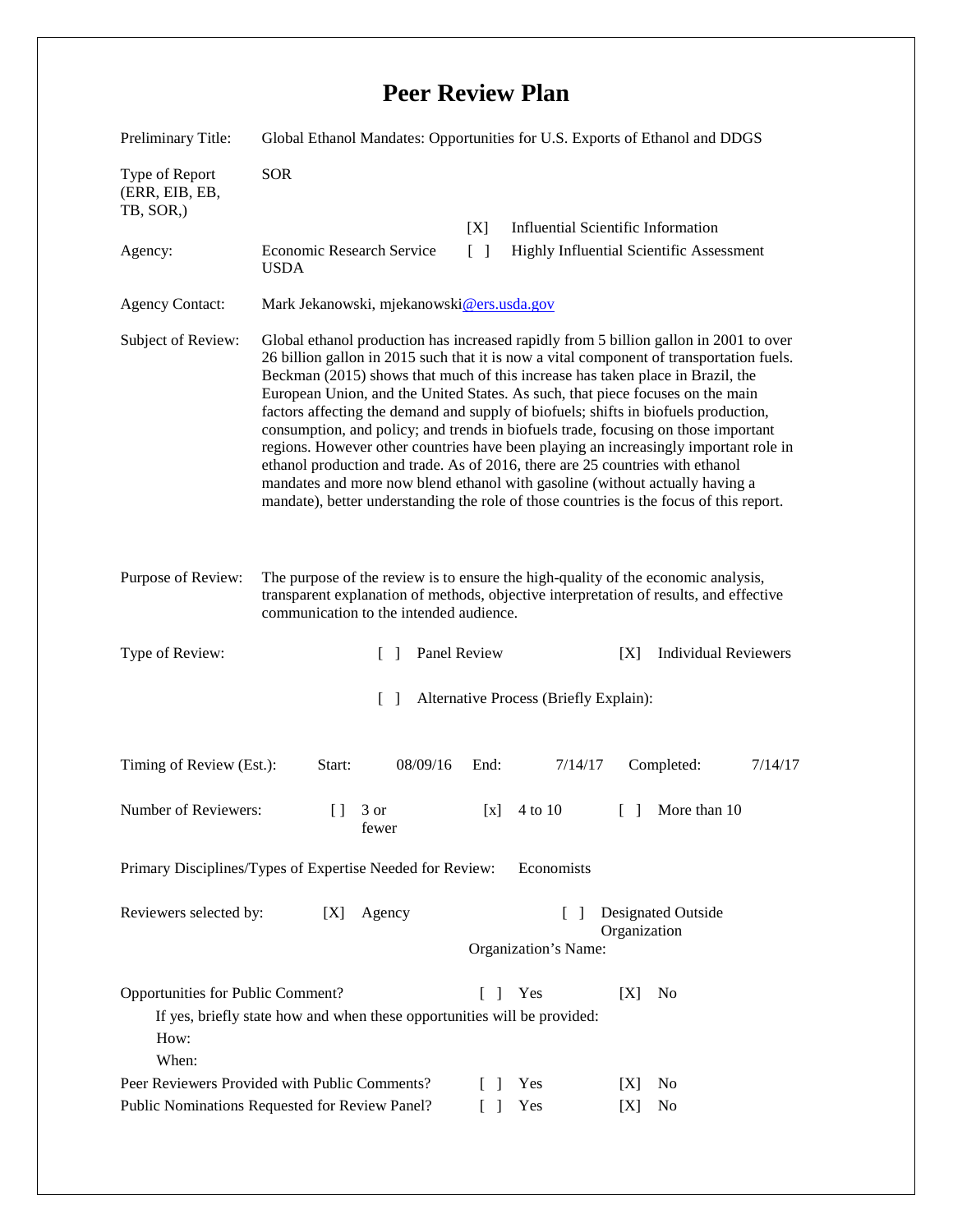## **Peer Review Plan**

| Preliminary Title:                                                                                                                                                                         | Global Ethanol Mandates: Opportunities for U.S. Exports of Ethanol and DDGS                                                                                                                                                                                                                                                                                                                                                                                                                                                                                                                                                                                                                                                                                                                                                                                                            |                   |                                                                             |                                                   |  |
|--------------------------------------------------------------------------------------------------------------------------------------------------------------------------------------------|----------------------------------------------------------------------------------------------------------------------------------------------------------------------------------------------------------------------------------------------------------------------------------------------------------------------------------------------------------------------------------------------------------------------------------------------------------------------------------------------------------------------------------------------------------------------------------------------------------------------------------------------------------------------------------------------------------------------------------------------------------------------------------------------------------------------------------------------------------------------------------------|-------------------|-----------------------------------------------------------------------------|---------------------------------------------------|--|
| Type of Report<br>(ERR, EIB, EB,<br>TB, SOR,)                                                                                                                                              | <b>SOR</b>                                                                                                                                                                                                                                                                                                                                                                                                                                                                                                                                                                                                                                                                                                                                                                                                                                                                             |                   |                                                                             |                                                   |  |
|                                                                                                                                                                                            |                                                                                                                                                                                                                                                                                                                                                                                                                                                                                                                                                                                                                                                                                                                                                                                                                                                                                        | [X]               | <b>Influential Scientific Information</b>                                   |                                                   |  |
| Agency:                                                                                                                                                                                    | Economic Research Service<br><b>USDA</b>                                                                                                                                                                                                                                                                                                                                                                                                                                                                                                                                                                                                                                                                                                                                                                                                                                               | $\lceil \ \rceil$ | Highly Influential Scientific Assessment                                    |                                                   |  |
| <b>Agency Contact:</b>                                                                                                                                                                     | Mark Jekanowski, mjekanowski@ers.usda.gov                                                                                                                                                                                                                                                                                                                                                                                                                                                                                                                                                                                                                                                                                                                                                                                                                                              |                   |                                                                             |                                                   |  |
| Subject of Review:                                                                                                                                                                         | Global ethanol production has increased rapidly from 5 billion gallon in 2001 to over<br>26 billion gallon in 2015 such that it is now a vital component of transportation fuels.<br>Beckman (2015) shows that much of this increase has taken place in Brazil, the<br>European Union, and the United States. As such, that piece focuses on the main<br>factors affecting the demand and supply of biofuels; shifts in biofuels production,<br>consumption, and policy; and trends in biofuels trade, focusing on those important<br>regions. However other countries have been playing an increasingly important role in<br>ethanol production and trade. As of 2016, there are 25 countries with ethanol<br>mandates and more now blend ethanol with gasoline (without actually having a<br>mandate), better understanding the role of those countries is the focus of this report. |                   |                                                                             |                                                   |  |
| Purpose of Review:                                                                                                                                                                         | The purpose of the review is to ensure the high-quality of the economic analysis,<br>transparent explanation of methods, objective interpretation of results, and effective<br>communication to the intended audience.                                                                                                                                                                                                                                                                                                                                                                                                                                                                                                                                                                                                                                                                 |                   |                                                                             |                                                   |  |
| Type of Review:                                                                                                                                                                            | $\Box$                                                                                                                                                                                                                                                                                                                                                                                                                                                                                                                                                                                                                                                                                                                                                                                                                                                                                 | Panel Review      |                                                                             | <b>Individual Reviewers</b><br>[X]                |  |
| Alternative Process (Briefly Explain):<br>$\lceil \rceil$                                                                                                                                  |                                                                                                                                                                                                                                                                                                                                                                                                                                                                                                                                                                                                                                                                                                                                                                                                                                                                                        |                   |                                                                             |                                                   |  |
| Timing of Review (Est.):                                                                                                                                                                   | Start:<br>08/09/16                                                                                                                                                                                                                                                                                                                                                                                                                                                                                                                                                                                                                                                                                                                                                                                                                                                                     | End:              | 7/14/17                                                                     | Completed:<br>7/14/17                             |  |
| Number of Reviewers:                                                                                                                                                                       | 3 or<br>$\Box$<br>fewer                                                                                                                                                                                                                                                                                                                                                                                                                                                                                                                                                                                                                                                                                                                                                                                                                                                                | [x]               | 4 to 10                                                                     | More than 10<br>$\begin{bmatrix} 1 \end{bmatrix}$ |  |
| Primary Disciplines/Types of Expertise Needed for Review:<br>Economists                                                                                                                    |                                                                                                                                                                                                                                                                                                                                                                                                                                                                                                                                                                                                                                                                                                                                                                                                                                                                                        |                   |                                                                             |                                                   |  |
| Reviewers selected by:<br>[X]<br>Agency                                                                                                                                                    |                                                                                                                                                                                                                                                                                                                                                                                                                                                                                                                                                                                                                                                                                                                                                                                                                                                                                        |                   | <b>Designated Outside</b><br>$\Box$<br>Organization<br>Organization's Name: |                                                   |  |
| Opportunities for Public Comment?<br>Yes<br>[X]<br>N <sub>0</sub><br>$\Gamma$<br>$\mathbf{I}$<br>If yes, briefly state how and when these opportunities will be provided:<br>How:<br>When: |                                                                                                                                                                                                                                                                                                                                                                                                                                                                                                                                                                                                                                                                                                                                                                                                                                                                                        |                   |                                                                             |                                                   |  |
| Peer Reviewers Provided with Public Comments?                                                                                                                                              |                                                                                                                                                                                                                                                                                                                                                                                                                                                                                                                                                                                                                                                                                                                                                                                                                                                                                        |                   | Yes                                                                         | N <sub>0</sub><br>[X]                             |  |
| Public Nominations Requested for Review Panel?                                                                                                                                             |                                                                                                                                                                                                                                                                                                                                                                                                                                                                                                                                                                                                                                                                                                                                                                                                                                                                                        |                   | Yes                                                                         | No<br>[X]                                         |  |